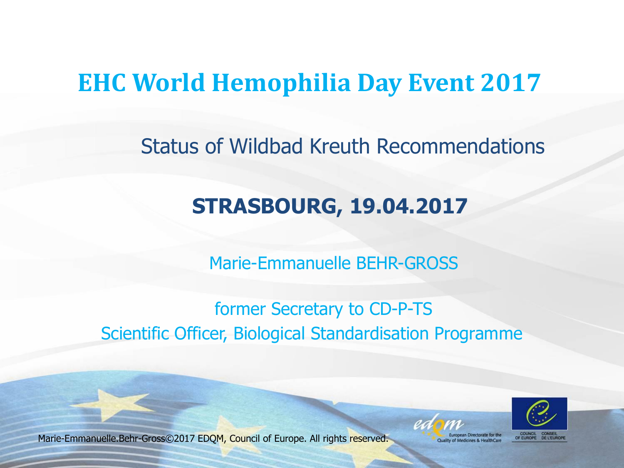# **EHC World Hemophilia Day Event 2017**

Status of Wildbad Kreuth Recommendations

# **STRASBOURG, 19.04.2017**

Marie-Emmanuelle BEHR-GROSS

#### former Secretary to CD-P-TS Scientific Officer, Biological Standardisation Programme



Marie-Emmanuelle.Behr-Gross©2017 EDQM, Council of Europe. All rights reserved.

**Juality of Medicines & HealthCare**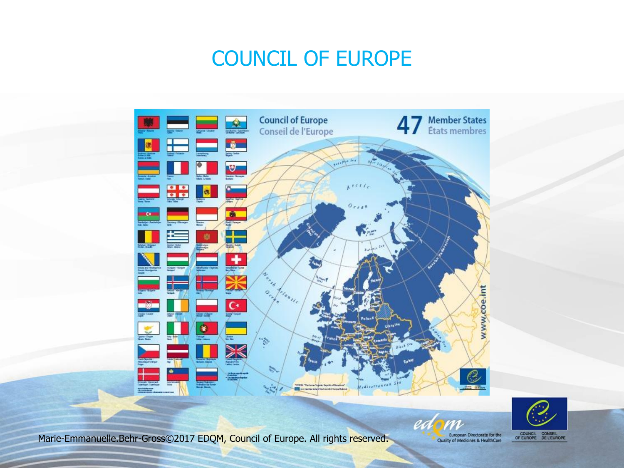# COUNCIL OF EUROPE



COUNCIL CONSEIL<br>OF EUROPE DE L'EUROPE

Marie-Emmanuelle.Behr-Gross©2017 EDQM, Council of Europe. All rights reserved.

European Directorate for the<br>Quality of Medicines & HealthCare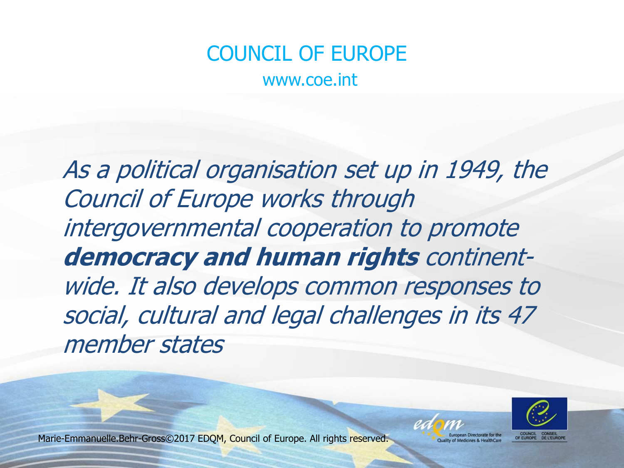# COUNCIL OF EUROPE

www.coe.int

As a political organisation set up in 1949, the Council of Europe works through intergovernmental cooperation to promote **democracy and human rights** continentwide. It also develops common responses to social, cultural and legal challenges in its 47 member states



Marie-Emmanuelle.Behr-Gross©2017 EDQM, Council of Europe. All rights reserved.

Quality of Medicines & HealthCare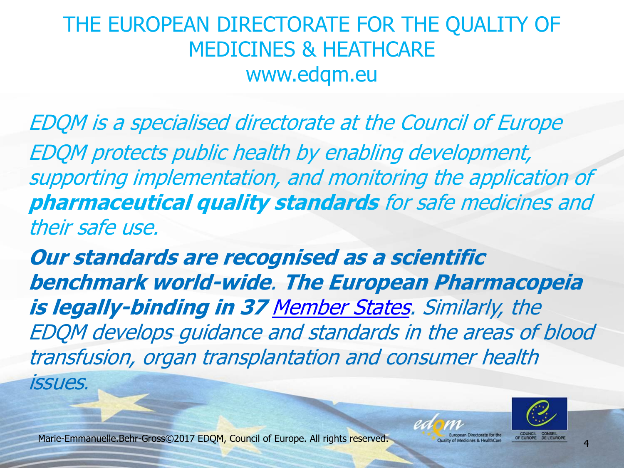## THE EUROPEAN DIRECTORATE FOR THE QUALITY OF MEDICINES & HEATHCARE www.edqm.eu

EDQM is a specialised directorate at the Council of Europe EDQM protects public health by enabling development, supporting implementation, and monitoring the application of **pharmaceutical quality standards** for safe medicines and their safe use.

**Our standards are recognised as a scientific benchmark world-wide**. **The European Pharmacopeia is legally-binding in 37** [Member States](https://www.edqm.eu/sites/default/files/map-members-observers-commission.png). Similarly, the EDQM develops guidance and standards in the areas of blood transfusion, organ transplantation and consumer health

issues.

Marie-Emmanuelle.Behr-Gross©2017 EDQM, Council of Europe. All rights reserved.



Medicines & HealthCare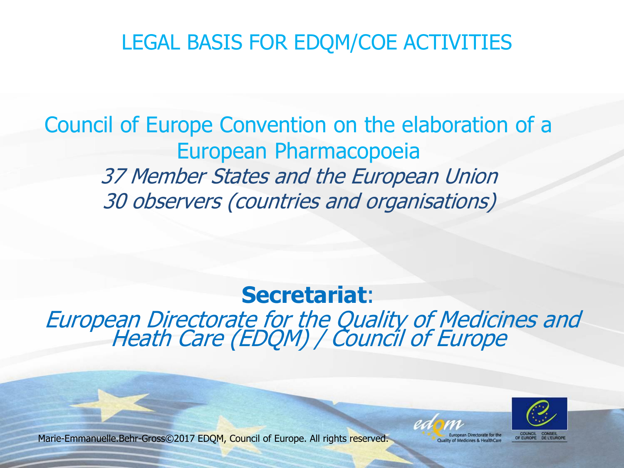### LEGAL BASIS FOR EDQM/COE ACTIVITIES

## Council of Europe Convention on the elaboration of a European Pharmacopoeia 37 Member States and the European Union 30 observers (countries and organisations)

**Secretariat**: European Directorate for the Quality of Medicines and Heath Care (EDQM) / Council of Europe



Marie-Emmanuelle.Behr-Gross©2017 EDQM, Council of Europe. All rights reserved.

uality of Medicines & HealthCare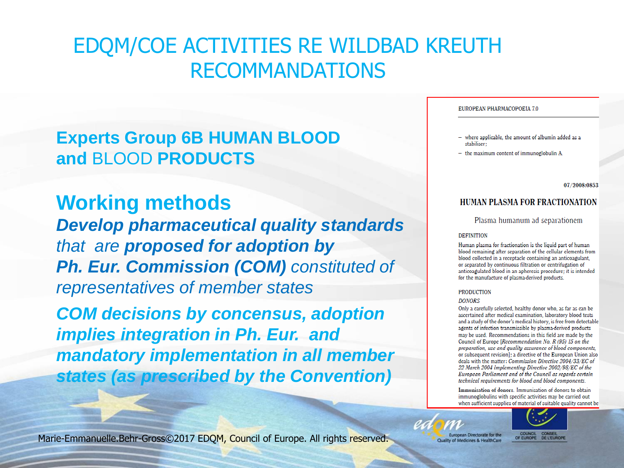### EDQM/COE ACTIVITIES RE WILDBAD KREUTH RECOMMANDATIONS

#### **Experts Group 6B HUMAN BLOOD and** BLOOD **PRODUCTS**

**Working methods** *Develop pharmaceutical quality standards that are proposed for adoption by Ph. Eur. Commission (COM) constituted of representatives of member states*

*COM decisions by concensus, adoption implies integration in Ph. Eur. and mandatory implementation in all member states (as prescribed by the Convention)*

#### EUROPEAN PHARMACOPOEIA 7.0

- where applicable, the amount of albumin added as a stabiliser:
- $-$  the maximum content of immunoglobulin A.

07/2008:0853

#### **HUMAN PLASMA FOR FRACTIONATION**

Plasma humanum ad separationem

#### **DEFINITION**

Human plasma for fractionation is the liquid part of human blood remaining after separation of the cellular elements from blood collected in a receptacle containing an anticoagulant, or separated by continuous filtration or centrifugation of anticoagulated blood in an apheresis procedure; it is intended for the manufacture of plasma-derived products.

#### **PRODUCTION**

#### **DONORS**

Only a carefully selected, healthy donor who, as far as can be ascertained after medical examination, laboratory blood tests and a study of the donor's medical history, is free from detectable agents of infection transmissible by plasma-derived products may be used. Recommendations in this field are made by the Council of Europe [Recommendation No. R (95) 15 on the preparation, use and quality assurance of blood components, or subsequent revision]; a directive of the European Union also deals with the matter: Commission Directive 2004/33/EC of 22 March 2004 implementing Directive 2002/98/EC of the European Parliament and of the Council as regards certain technical requirements for blood and blood components.

Immunisation of donors. Immunisation of donors to obtain immunoglobulins with specific activities may be carried out when sufficient supplies of material of suitable quality cannot be



Marie-Emmanuelle.Behr-Gross©2017 EDQM, Council of Europe. All rights reserved.

European Directorate for the Quality of Medicines & HealthCare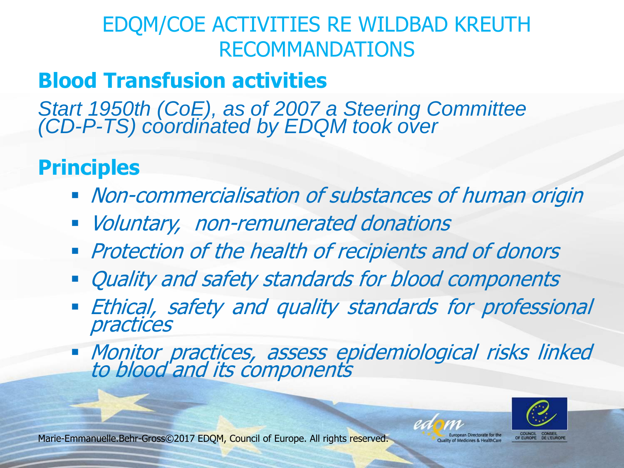## EDQM/COE ACTIVITIES RE WILDBAD KREUTH RECOMMANDATIONS

# **Blood Transfusion activities**

*Start 1950th (CoE), as of 2007 a Steering Committee (CD-P-TS) coordinated by EDQM took over*

# **Principles**

- **Non-commercialisation of substances of human origin**
- **Voluntary, non-remunerated donations**
- **Protection of the health of recipients and of donors**
- Quality and safety standards for blood components
- **Ethical, safety and quality standards for professional** practices
- Monitor practices, assess epidemiological risks linked to blood and its components



Marie-Emmanuelle.Behr-Gross©2017 EDQM, Council of Europe. All rights reserved.

of Medicines & HealthCare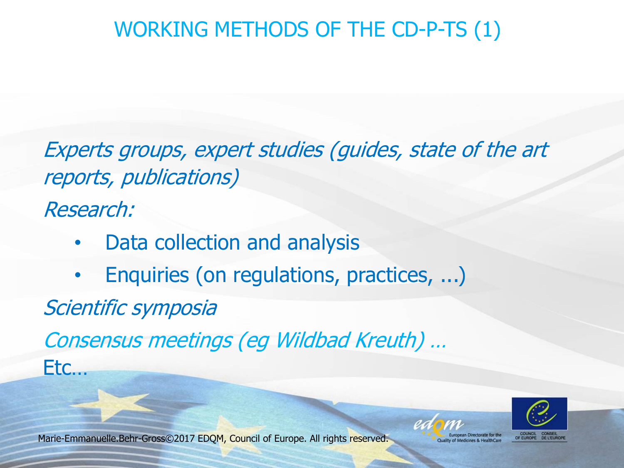# WORKING METHODS OF THE CD-P-TS (1)

Experts groups, expert studies (guides, state of the art reports, publications)

Research:

- Data collection and analysis
- Enquiries (on regulations, practices, ...)

Scientific symposia

Consensus meetings (eg Wildbad Kreuth) …

Etc…

OF EUROPE DE L'EUROP

Marie-Emmanuelle.Behr-Gross©2017 EDQM, Council of Europe. All rights reserved.

Quality of Medicines & HealthCare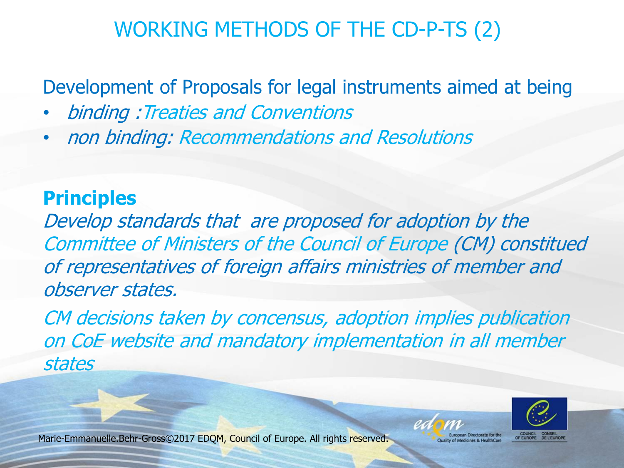## WORKING METHODS OF THE CD-P-TS (2)

Development of Proposals for legal instruments aimed at being

- binding :Treaties and Conventions
- non binding: Recommendations and Resolutions

#### **Principles**

Develop standards that are proposed for adoption by the Committee of Ministers of the Council of Europe (CM) constitued of representatives of foreign affairs ministries of member and observer states.

CM decisions taken by concensus, adoption implies publication on CoE website and mandatory implementation in all member states



Marie-Emmanuelle.Behr-Gross©2017 EDQM, Council of Europe. All rights reserved.

f Medicines & HealthCare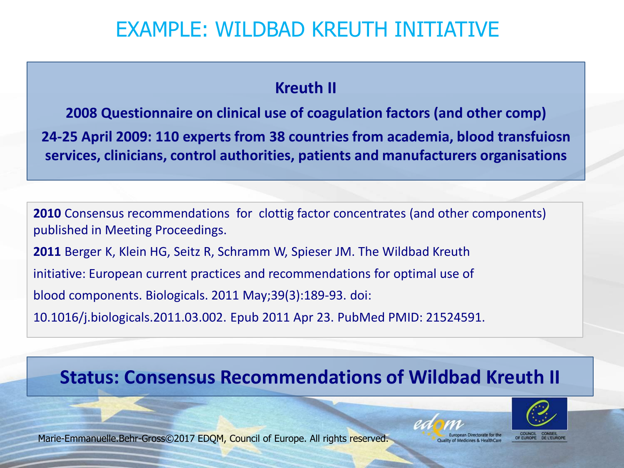### EXAMPLE: WILDBAD KREUTH INITIATIVE

#### **Kreuth II**

**2008 Questionnaire on clinical use of coagulation factors (and other comp) 24-25 April 2009: 110 experts from 38 countries from academia, blood transfuiosn services, clinicians, control authorities, patients and manufacturers organisations**

**2010** Consensus recommendations for clottig factor concentrates (and other components) published in Meeting Proceedings. **2011** Berger K, Klein HG, Seitz R, Schramm W, Spieser JM. The Wildbad Kreuth initiative: European current practices and recommendations for optimal use of blood components. Biologicals. 2011 May;39(3):189-93. doi: 10.1016/j.biologicals.2011.03.002. Epub 2011 Apr 23. PubMed PMID: 21524591.

# **Status: Consensus Recommendations of Wildbad Kreuth II**



Marie-Emmanuelle.Behr-Gross©2017 EDQM, Council of Europe. All rights reserved.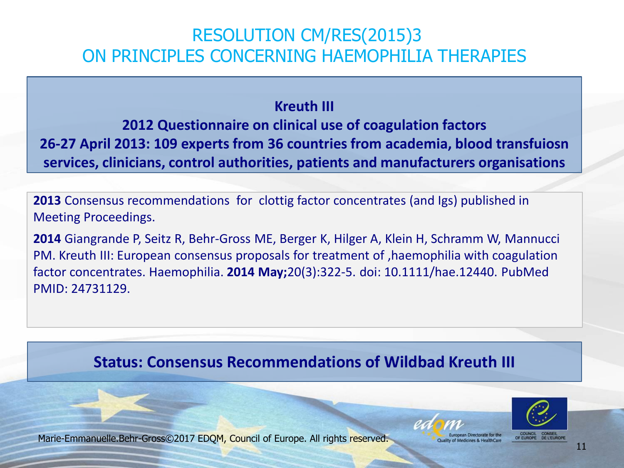#### RESOLUTION CM/RES(2015)3 ON PRINCIPLES CONCERNING HAEMOPHILIA THERAPIES

#### **Kreuth III**

**2012 Questionnaire on clinical use of coagulation factors 26-27 April 2013: 109 experts from 36 countries from academia, blood transfuiosn services, clinicians, control authorities, patients and manufacturers organisations**

**2013** Consensus recommendations for clottig factor concentrates (and Igs) published in Meeting Proceedings.

**2014** Giangrande P, Seitz R, Behr-Gross ME, Berger K, Hilger A, Klein H, Schramm W, Mannucci PM. Kreuth III: European consensus proposals for treatment of ,haemophilia with coagulation factor concentrates. Haemophilia. **2014 May;**20(3):322-5. doi: 10.1111/hae.12440. PubMed PMID: 24731129.

#### **Status: Consensus Recommendations of Wildbad Kreuth III**



Marie-Emmanuelle.Behr-Gross©2017 EDQM, Council of Europe. All rights reserved.

OF FUROPE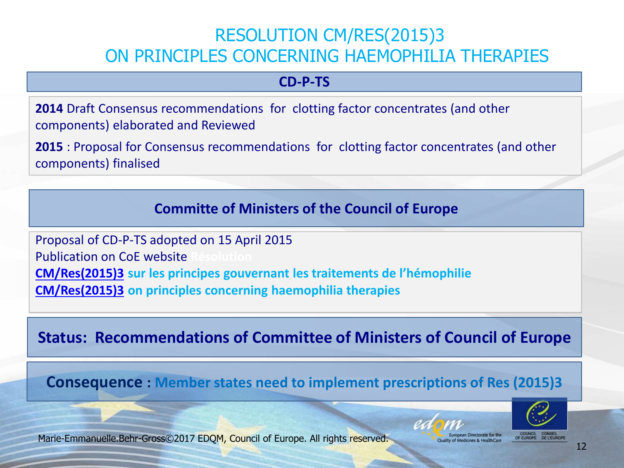#### RESOLUTION CM/RES(2015)3 ON PRINCIPLES CONCERNING HAEMOPHILIA THERAPIES

#### **CD-P-TS**

**2014** Draft Consensus recommendations for clotting factor concentrates (and other components) elaborated and Reviewed

**2015** : Proposal for Consensus recommendations for clotting factor concentrates (and other components) finalised

**Committe of Ministers of the Council of Europe**

Proposal of CD-P-TS adopted on 15 April 2015 **Publication on CoE website [CM/Res\(2015\)3](https://search.coe.int/cm/Pages/result_details.aspx?Reference=CM/Res(2015)3) sur les principes gouvernant les traitements de l'hémophilie [CM/Res\(2015\)3](https://search.coe.int/cm/Pages/result_details.aspx?Reference=CM/Res(2015)3) on principles concerning haemophilia therapies**

**Status: Recommendations of Committee of Ministers of Council of Europe**

**Consequence : Member states need to implement prescriptions of Res (2015)3**





COUNCIL CONSEIL<br>OF EUROPE DE L'EUROP